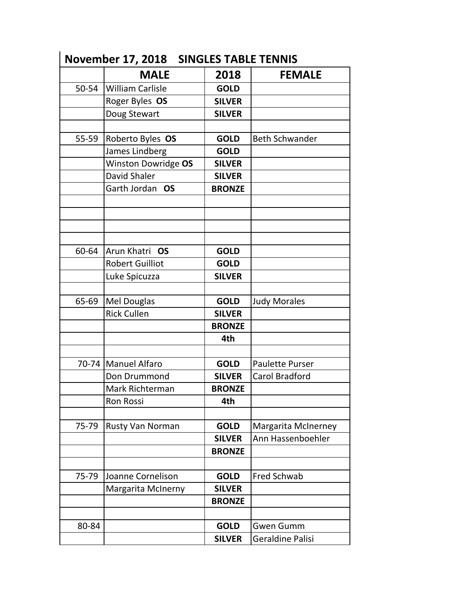|       | <b>MALE</b>             | 2018          | <b>FEMALE</b>              |
|-------|-------------------------|---------------|----------------------------|
| 50-54 | <b>William Carlisle</b> | <b>GOLD</b>   |                            |
|       | Roger Byles OS          | <b>SILVER</b> |                            |
|       | Doug Stewart            | <b>SILVER</b> |                            |
|       |                         |               |                            |
| 55-59 | Roberto Byles OS        | <b>GOLD</b>   | <b>Beth Schwander</b>      |
|       | James Lindberg          | <b>GOLD</b>   |                            |
|       | Winston Dowridge OS     | <b>SILVER</b> |                            |
|       | David Shaler            | <b>SILVER</b> |                            |
|       | Garth Jordan OS         | <b>BRONZE</b> |                            |
|       |                         |               |                            |
|       |                         |               |                            |
| 60-64 | Arun Khatri OS          | <b>GOLD</b>   |                            |
|       | <b>Robert Guilliot</b>  | <b>GOLD</b>   |                            |
|       | Luke Spicuzza           | <b>SILVER</b> |                            |
| 65-69 | Mel Douglas             | <b>GOLD</b>   | <b>Judy Morales</b>        |
|       | <b>Rick Cullen</b>      | <b>SILVER</b> |                            |
|       |                         | <b>BRONZE</b> |                            |
|       |                         | 4th           |                            |
|       |                         |               |                            |
|       | 70-74   Manuel Alfaro   | <b>GOLD</b>   | <b>Paulette Purser</b>     |
|       | Don Drummond            | <b>SILVER</b> | <b>Carol Bradford</b>      |
|       | Mark Richterman         | <b>BRONZE</b> |                            |
|       | <b>Ron Rossi</b>        | 4th           |                            |
| 75-79 | Rusty Van Norman        | <b>GOLD</b>   | <b>Margarita McInerney</b> |
|       |                         | <b>SILVER</b> | Ann Hassenboehler          |
|       |                         | <b>BRONZE</b> |                            |
|       |                         |               |                            |
| 75-79 | Joanne Cornelison       | <b>GOLD</b>   | <b>Fred Schwab</b>         |
|       | Margarita McInerny      | <b>SILVER</b> |                            |
|       |                         | <b>BRONZE</b> |                            |
|       |                         |               |                            |
| 80-84 |                         | <b>GOLD</b>   | <b>Gwen Gumm</b>           |
|       |                         | <b>SILVER</b> | Geraldine Palisi           |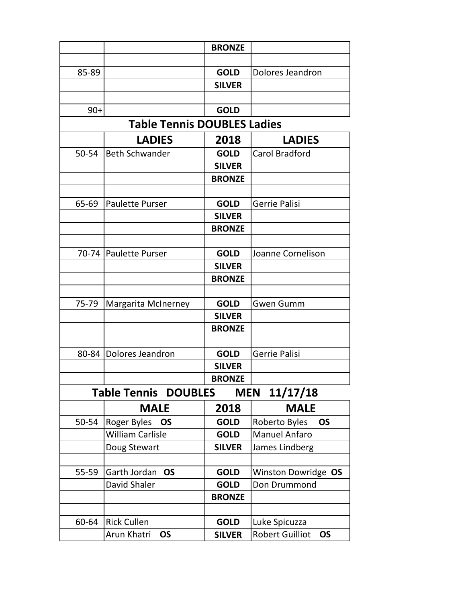|                                    |                                                       | <b>BRONZE</b> |                                     |  |  |  |
|------------------------------------|-------------------------------------------------------|---------------|-------------------------------------|--|--|--|
|                                    |                                                       |               |                                     |  |  |  |
| 85-89                              |                                                       | <b>GOLD</b>   | Dolores Jeandron                    |  |  |  |
|                                    |                                                       | <b>SILVER</b> |                                     |  |  |  |
|                                    |                                                       |               |                                     |  |  |  |
| $90+$                              |                                                       | <b>GOLD</b>   |                                     |  |  |  |
| <b>Table Tennis DOUBLES Ladies</b> |                                                       |               |                                     |  |  |  |
|                                    | <b>LADIES</b>                                         | 2018          | <b>LADIES</b>                       |  |  |  |
| 50-54                              | <b>Beth Schwander</b>                                 | <b>GOLD</b>   | <b>Carol Bradford</b>               |  |  |  |
|                                    |                                                       | <b>SILVER</b> |                                     |  |  |  |
|                                    |                                                       | <b>BRONZE</b> |                                     |  |  |  |
|                                    |                                                       |               |                                     |  |  |  |
| 65-69                              | <b>Paulette Purser</b>                                | <b>GOLD</b>   | <b>Gerrie Palisi</b>                |  |  |  |
|                                    |                                                       | <b>SILVER</b> |                                     |  |  |  |
|                                    |                                                       | <b>BRONZE</b> |                                     |  |  |  |
|                                    |                                                       |               |                                     |  |  |  |
|                                    | 70-74   Paulette Purser                               | <b>GOLD</b>   | Joanne Cornelison                   |  |  |  |
|                                    |                                                       | <b>SILVER</b> |                                     |  |  |  |
|                                    |                                                       | <b>BRONZE</b> |                                     |  |  |  |
|                                    |                                                       |               |                                     |  |  |  |
| 75-79                              | <b>Margarita McInerney</b>                            | <b>GOLD</b>   | <b>Gwen Gumm</b>                    |  |  |  |
|                                    |                                                       | <b>SILVER</b> |                                     |  |  |  |
|                                    |                                                       | <b>BRONZE</b> |                                     |  |  |  |
|                                    |                                                       |               |                                     |  |  |  |
|                                    | 80-84   Dolores Jeandron                              | <b>GOLD</b>   | Gerrie Palisi                       |  |  |  |
|                                    |                                                       | <b>SILVER</b> |                                     |  |  |  |
|                                    |                                                       | <b>BRONZE</b> |                                     |  |  |  |
|                                    | <b>Table Tennis DOUBLES</b><br>11/17/18<br><b>MEN</b> |               |                                     |  |  |  |
|                                    | <b>MALE</b>                                           | 2018          | <b>MALE</b>                         |  |  |  |
| 50-54                              | Roger Byles<br><b>OS</b>                              | <b>GOLD</b>   | Roberto Byles<br><b>OS</b>          |  |  |  |
|                                    | <b>William Carlisle</b>                               | <b>GOLD</b>   | <b>Manuel Anfaro</b>                |  |  |  |
|                                    | Doug Stewart                                          | <b>SILVER</b> | James Lindberg                      |  |  |  |
|                                    |                                                       |               |                                     |  |  |  |
| 55-59                              | Garth Jordan<br><b>OS</b>                             | <b>GOLD</b>   | Winston Dowridge OS                 |  |  |  |
|                                    | David Shaler                                          | <b>GOLD</b>   | Don Drummond                        |  |  |  |
|                                    |                                                       | <b>BRONZE</b> |                                     |  |  |  |
|                                    |                                                       |               |                                     |  |  |  |
| 60-64                              | <b>Rick Cullen</b>                                    | <b>GOLD</b>   | Luke Spicuzza                       |  |  |  |
|                                    | Arun Khatri<br><b>OS</b>                              | <b>SILVER</b> | <b>Robert Guilliot</b><br><b>OS</b> |  |  |  |